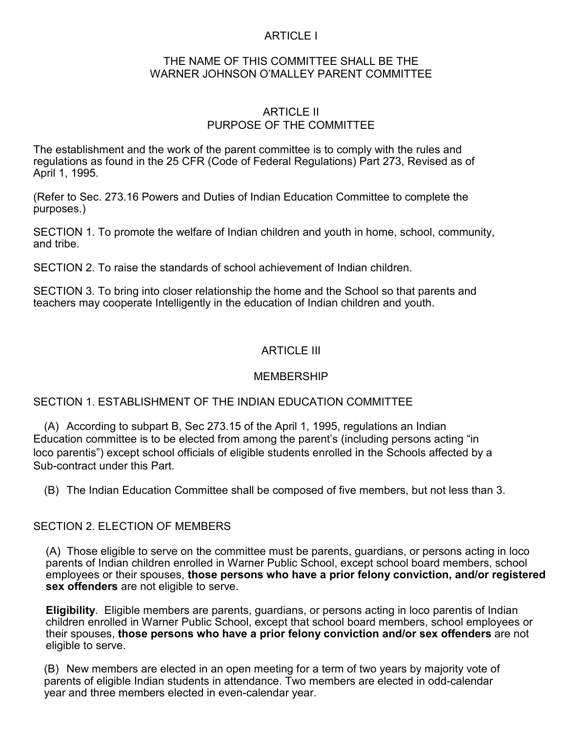# ARTICLE I

### THE NAME OF THIS COMMITTEE SHALL BE THE WARNER JOHNSON O'MALLEY PARENT COMMITTEE

### ARTICLE II PURPOSE OF THE COMMITTEE

The establishment and the work of the parent committee is to comply with the rules and regulations as found in the 25 CFR (Code of Federal Regulations) Part 273, Revised as of April 1, 1995.

(Refer to Sec. 273.16 Powers and Duties of Indian Education Committee to complete the purposes.)

SECTION 1. To promote the welfare of Indian children and youth in home, school, community, and tribe.

SECTION 2. To raise the standards of school achievement of Indian children.

SECTION 3. To bring into closer relationship the home and the School so that parents and teachers may cooperate Intelligently in the education of Indian children and youth.

# ARTICLE III

## **MEMBERSHIP**

## SECTION 1. ESTABLISHMENT OF THE INDIAN EDUCATION COMMITTEE

(A) According to subpart B, Sec 273.15 of the April 1, 1995, regulations an Indian Education committee is to be elected from among the parent's (including persons acting "in loco parentis") except school officials of eligible students enrolled in the Schools affected by a Sub-contract under this Part.

(B) The Indian Education Committee shall be composed of five members, but not less than 3.

## SECTION 2. ELECTION OF MEMBERS

(A) Those eligible to serve on the committee must be parents, guardians, or persons acting in loco parents of Indian children enrolled in Warner Public School, except school board members, school employees or their spouses, **those persons who have a prior felony conviction, and/or registered sex offenders** are not eligible to serve.

**Eligibility**. Eligible members are parents, guardians, or persons acting in loco parentis of Indian children enrolled in Warner Public School, except that school board members, school employees or their spouses, **those persons who have a prior felony conviction and/or sex offenders** are not eligible to serve.

(B) New members are elected in an open meeting for a term of two years by majority vote of parents of eligible Indian students in attendance. Two members are elected in odd-calendar year and three members elected in even-calendar year.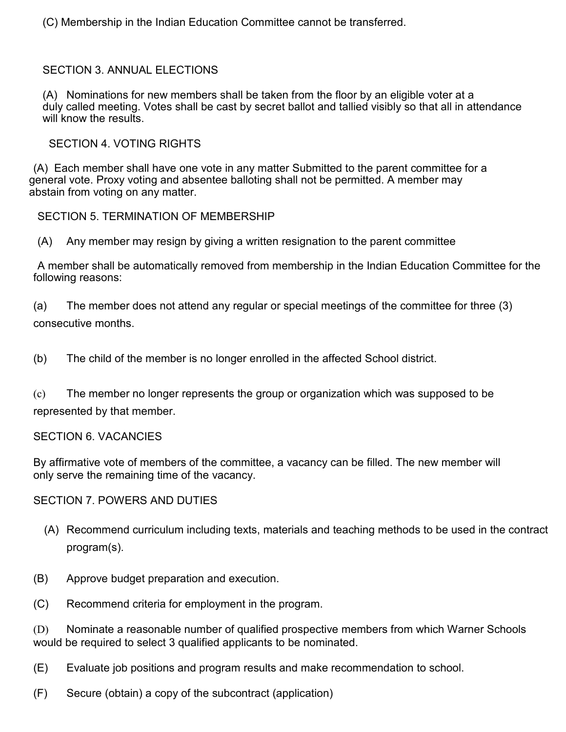(C) Membership in the Indian Education Committee cannot be transferred.

# SECTION 3. ANNUAL ELECTIONS

 (A) Nominations for new members shall be taken from the floor by an eligible voter at a duly called meeting. Votes shall be cast by secret ballot and tallied visibly so that all in attendance will know the results.

SECTION 4. VOTING RIGHTS

(A) Each member shall have one vote in any matter Submitted to the parent committee for a general vote. Proxy voting and absentee balloting shall not be permitted. A member may abstain from voting on any matter.

SECTION 5. TERMINATION OF MEMBERSHIP

(A) Any member may resign by giving a written resignation to the parent committee

A member shall be automatically removed from membership in the Indian Education Committee for the following reasons:

(a) The member does not attend any regular or special meetings of the committee for three (3) consecutive months.

(b) The child of the member is no longer enrolled in the affected School district.

(c) The member no longer represents the group or organization which was supposed to be represented by that member.

SECTION 6. VACANCIES

By affirmative vote of members of the committee, a vacancy can be filled. The new member will only serve the remaining time of the vacancy.

SECTION 7. POWERS AND DUTIES

- (A) Recommend curriculum including texts, materials and teaching methods to be used in the contract program(s).
- (B) Approve budget preparation and execution.
- (C) Recommend criteria for employment in the program.

(D) Nominate a reasonable number of qualified prospective members from which Warner Schools would be required to select 3 qualified applicants to be nominated.

- (E) Evaluate job positions and program results and make recommendation to school.
- (F) Secure (obtain) a copy of the subcontract (application)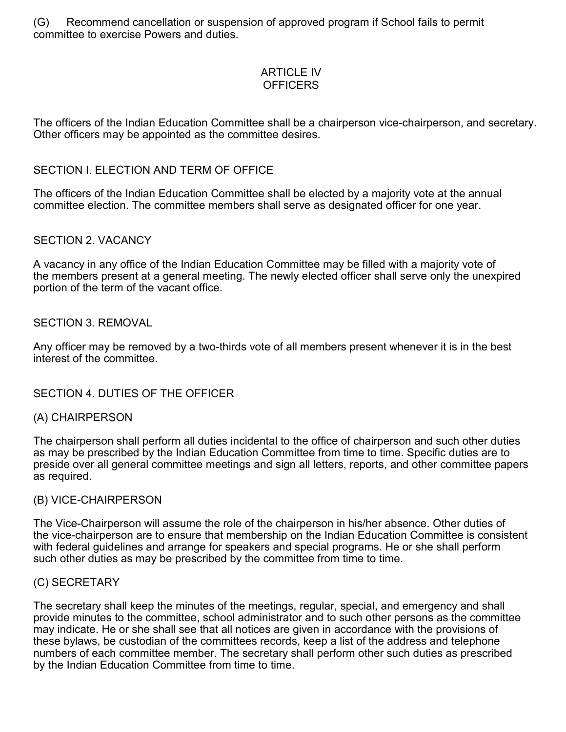(G) Recommend cancellation or suspension of approved program if School fails to permit committee to exercise Powers and duties.

## ARTICLE IV **OFFICERS**

The officers of the Indian Education Committee shall be a chairperson vice-chairperson, and secretary. Other officers may be appointed as the committee desires.

## SECTION I. ELECTION AND TERM OF OFFICE

The officers of the Indian Education Committee shall be elected by a majority vote at the annual committee election. The committee members shall serve as designated officer for one year.

### SECTION 2. VACANCY

A vacancy in any office of the Indian Education Committee may be filled with a majority vote of the members present at a general meeting. The newly elected officer shall serve only the unexpired portion of the term of the vacant office.

### SECTION 3. REMOVAL

Any officer may be removed by a two-thirds vote of all members present whenever it is in the best interest of the committee.

## SECTION 4. DUTIES OF THE OFFICER

#### (A) CHAIRPERSON

The chairperson shall perform all duties incidental to the office of chairperson and such other duties as may be prescribed by the Indian Education Committee from time to time. Specific duties are to preside over all general committee meetings and sign all letters, reports, and other committee papers as required.

### (B) VICE-CHAIRPERSON

The Vice-Chairperson will assume the role of the chairperson in his/her absence. Other duties of the vice-chairperson are to ensure that membership on the Indian Education Committee is consistent with federal guidelines and arrange for speakers and special programs. He or she shall perform such other duties as may be prescribed by the committee from time to time.

#### (C) SECRETARY

The secretary shall keep the minutes of the meetings, regular, special, and emergency and shall provide minutes to the committee, school administrator and to such other persons as the committee may indicate. He or she shall see that all notices are given in accordance with the provisions of these bylaws, be custodian of the committees records, keep a list of the address and telephone numbers of each committee member. The secretary shall perform other such duties as prescribed by the Indian Education Committee from time to time.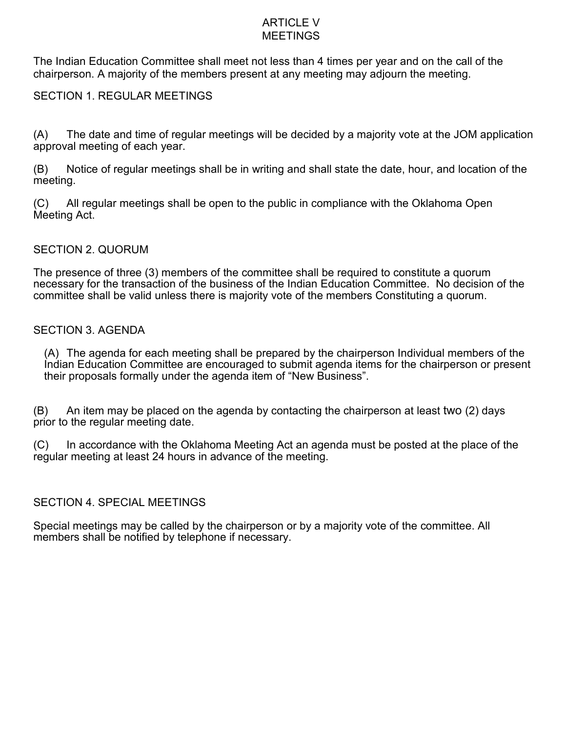#### ARTICLE V **MEETINGS**

The Indian Education Committee shall meet not less than 4 times per year and on the call of the chairperson. A majority of the members present at any meeting may adjourn the meeting.

## SECTION 1. REGULAR MEETINGS

(A) The date and time of regular meetings will be decided by a majority vote at the JOM application approval meeting of each year.

(B) Notice of regular meetings shall be in writing and shall state the date, hour, and location of the meeting.

(C) All regular meetings shall be open to the public in compliance with the Oklahoma Open Meeting Act.

## SECTION 2. QUORUM

The presence of three (3) members of the committee shall be required to constitute a quorum necessary for the transaction of the business of the Indian Education Committee. No decision of the committee shall be valid unless there is majority vote of the members Constituting a quorum.

### SECTION 3. AGENDA

(A) The agenda for each meeting shall be prepared by the chairperson Individual members of the Indian Education Committee are encouraged to submit agenda items for the chairperson or present their proposals formally under the agenda item of "New Business".

(B) An item may be placed on the agenda by contacting the chairperson at least two (2) days prior to the regular meeting date.

(C) In accordance with the Oklahoma Meeting Act an agenda must be posted at the place of the regular meeting at least 24 hours in advance of the meeting.

## SECTION 4. SPECIAL MEETINGS

Special meetings may be called by the chairperson or by a majority vote of the committee. All members shall be notified by telephone if necessary.